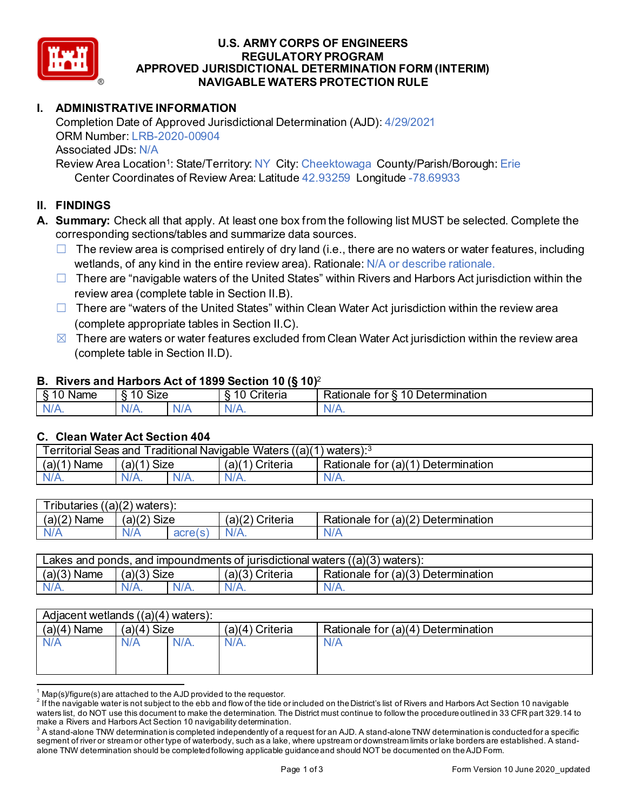

### **U.S. ARMY CORPS OF ENGINEERS REGULATORY PROGRAM APPROVED JURISDICTIONAL DETERMINATION FORM (INTERIM) NAVIGABLE WATERS PROTECTION RULE**

# **I. ADMINISTRATIVE INFORMATION**

Completion Date of Approved Jurisdictional Determination (AJD): 4/29/2021 ORM Number: LRB-2020-00904 Associated JDs: N/A

Review Area Location<sup>1</sup>: State/Territory: NY City: Cheektowaga County/Parish/Borough: Erie Center Coordinates of Review Area: Latitude 42.93259 Longitude -78.69933

# **II. FINDINGS**

- **A. Summary:** Check all that apply. At least one box from the following list MUST be selected. Complete the corresponding sections/tables and summarize data sources.
	- $\Box$  The review area is comprised entirely of dry land (i.e., there are no waters or water features, including wetlands, of any kind in the entire review area). Rationale: N/A or describe rationale.
	- $\Box$  There are "navigable waters of the United States" within Rivers and Harbors Act jurisdiction within the review area (complete table in Section II.B).
	- $\Box$  There are "waters of the United States" within Clean Water Act jurisdiction within the review area (complete appropriate tables in Section II.C).
	- $\boxtimes$  There are waters or water features excluded from Clean Water Act jurisdiction within the review area (complete table in Section II.D).

#### **B. Rivers and Harbors Act of 1899 Section 10 (§ 10)**<sup>2</sup>

| . .<br>___<br>-<br>Name<br>v | $\ddot{\phantom{1}}$<br>10<br>SIZE |    | ____<br>______<br>w<br>$\sim$<br>10<br>`rıterıa<br>∼ | 10<br>$\overline{\phantom{0}}$<br>_<br><b>Determination</b><br>⊀ationale<br>tor |
|------------------------------|------------------------------------|----|------------------------------------------------------|---------------------------------------------------------------------------------|
| $N/A$ .                      | \l/4<br>17.                        | M. | ND<br>.                                              | 11 I N.                                                                         |

### **C. Clean Water Act Section 404**

| <b>Territorial Seas and</b><br>Traditional Navigable Waters ((a)(1) waters): $^3$ |                |         |                   |                                           |  |  |
|-----------------------------------------------------------------------------------|----------------|---------|-------------------|-------------------------------------------|--|--|
| (a)(1)<br>Name                                                                    | Size<br>(a)(1) |         | Criteria<br>(a)(1 | Rationale for $(a)(1)$<br>) Determination |  |  |
| $N/A$ .                                                                           | $N/A$ .        | $N/A$ . | $N/A$ .           | N/A.                                      |  |  |

| $T$ ributaries<br>$($ (a) $(2)$<br>waters). |             |                             |                    |                                    |  |  |
|---------------------------------------------|-------------|-----------------------------|--------------------|------------------------------------|--|--|
| (a)(2)<br><b>Name</b>                       | (a)(2) Size |                             | (a)(2)<br>Criteria | Rationale for (a)(2) Determination |  |  |
| N/A                                         | \ /A        | arrels<br>au <del>c</del> i | $N/A$ .            | N/A                                |  |  |

| Lakes and ponds, and impoundments of jurisdictional waters ((a)(3) waters): |                |  |                    |                                    |  |  |
|-----------------------------------------------------------------------------|----------------|--|--------------------|------------------------------------|--|--|
| (a)(3)<br>`Name                                                             | (a)(3)<br>Size |  | (a)(3)<br>Criteria | Rationale for (a)(3) Determination |  |  |
|                                                                             | $N/A$ .        |  | $N/A$ .            | N/A.                               |  |  |

| Adjacent wetlands $((a)(4)$ waters): |               |         |                   |                                    |  |
|--------------------------------------|---------------|---------|-------------------|------------------------------------|--|
| $(a)(4)$ Name                        | $(a)(4)$ Size |         | $(a)(4)$ Criteria | Rationale for (a)(4) Determination |  |
| N/A                                  | N/A           | $N/A$ . | $N/A$ .           | N/A                                |  |
|                                      |               |         |                   |                                    |  |
|                                      |               |         |                   |                                    |  |

 $^{\rm 1}$  Map(s)/figure(s) are attached to the AJD provided to the requestor.<br><sup>2</sup> If the navigable water is not subject to the ebb and flow of the tide or included on the District's list of Rivers and Harbors Act Section 1 waters list, do NOT use this document to make the determination. The District must continue to follow the procedure outlined in 33 CFR part 329.14 to make a Rivers and Harbors Act Section 10 navigability determination.

 $^3$  A stand-alone TNW determination is completed independently of a request for an AJD. A stand-alone TNW determination is conducted for a specific segment of river or stream or other type of waterbody, such as a lake, where upstream or downstream limits or lake borders are established. A standalone TNW determination should be completed following applicable guidance and should NOT be documented on the AJD Form.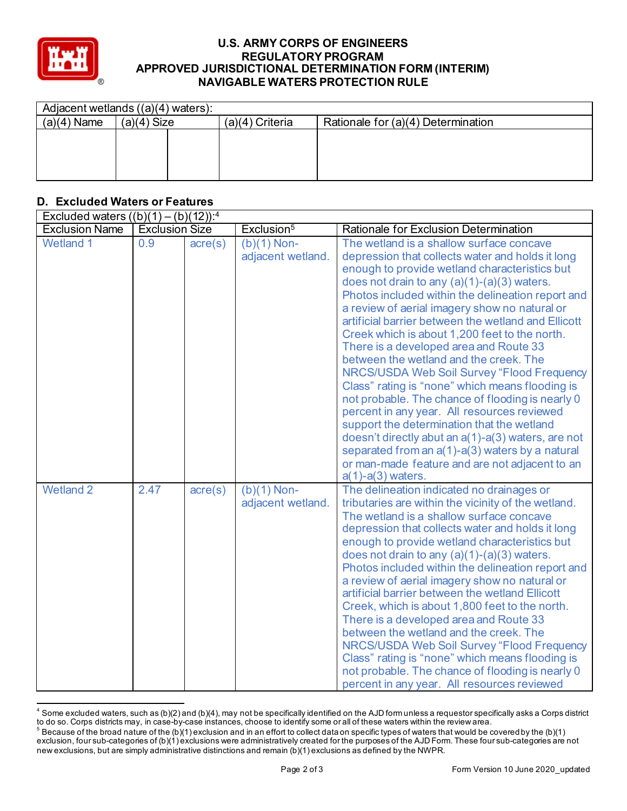

#### **U.S. ARMY CORPS OF ENGINEERS REGULATORY PROGRAM APPROVED JURISDICTIONAL DETERMINATION FORM (INTERIM) NAVIGABLE WATERS PROTECTION RULE**

| Adjacent wetlands $((a)(4)$ waters): |               |  |                   |                                    |  |  |
|--------------------------------------|---------------|--|-------------------|------------------------------------|--|--|
| $(a)(4)$ Name                        | $(a)(4)$ Size |  | $(a)(4)$ Criteria | Rationale for (a)(4) Determination |  |  |
|                                      |               |  |                   |                                    |  |  |
|                                      |               |  |                   |                                    |  |  |
|                                      |               |  |                   |                                    |  |  |
|                                      |               |  |                   |                                    |  |  |

# **D. Excluded Waters or Features**

| Excluded waters $((b)(1) - (b)(12))$ : <sup>4</sup> |                       |                  |                                    |                                                                                                                                                                                                                                                                                                                                                                                                                                                                                                                                                                                                                                                                                                                                                                                                                                                                                                                                      |  |
|-----------------------------------------------------|-----------------------|------------------|------------------------------------|--------------------------------------------------------------------------------------------------------------------------------------------------------------------------------------------------------------------------------------------------------------------------------------------------------------------------------------------------------------------------------------------------------------------------------------------------------------------------------------------------------------------------------------------------------------------------------------------------------------------------------------------------------------------------------------------------------------------------------------------------------------------------------------------------------------------------------------------------------------------------------------------------------------------------------------|--|
| <b>Exclusion Name</b>                               | <b>Exclusion Size</b> |                  | Exclusion <sup>5</sup>             | Rationale for Exclusion Determination                                                                                                                                                                                                                                                                                                                                                                                                                                                                                                                                                                                                                                                                                                                                                                                                                                                                                                |  |
| <b>Wetland 1</b>                                    | 0.9                   | $\text{acre}(s)$ | $(b)(1)$ Non-<br>adjacent wetland. | The wetland is a shallow surface concave<br>depression that collects water and holds it long<br>enough to provide wetland characteristics but<br>does not drain to any $(a)(1)-(a)(3)$ waters.<br>Photos included within the delineation report and<br>a review of aerial imagery show no natural or<br>artificial barrier between the wetland and Ellicott<br>Creek which is about 1,200 feet to the north.<br>There is a developed area and Route 33<br>between the wetland and the creek. The<br>NRCS/USDA Web Soil Survey "Flood Frequency<br>Class" rating is "none" which means flooding is<br>not probable. The chance of flooding is nearly 0<br>percent in any year. All resources reviewed<br>support the determination that the wetland<br>doesn't directly abut an a(1)-a(3) waters, are not<br>separated from an a(1)-a(3) waters by a natural<br>or man-made feature and are not adjacent to an<br>$a(1)-a(3)$ waters. |  |
| <b>Wetland 2</b>                                    | 2.47                  | acre(s)          | $(b)(1)$ Non-<br>adjacent wetland. | The delineation indicated no drainages or<br>tributaries are within the vicinity of the wetland.<br>The wetland is a shallow surface concave<br>depression that collects water and holds it long<br>enough to provide wetland characteristics but<br>does not drain to any $(a)(1)-(a)(3)$ waters.<br>Photos included within the delineation report and<br>a review of aerial imagery show no natural or<br>artificial barrier between the wetland Ellicott<br>Creek, which is about 1,800 feet to the north.<br>There is a developed area and Route 33<br>between the wetland and the creek. The<br>NRCS/USDA Web Soil Survey "Flood Frequency<br>Class" rating is "none" which means flooding is<br>not probable. The chance of flooding is nearly 0<br>percent in any year. All resources reviewed                                                                                                                                |  |

 $4$  Some excluded waters, such as (b)(2) and (b)(4), may not be specifically identified on the AJD form unless a requestor specifically asks a Corps district to do so. Corps districts may, in case-by-case instances, choose to identify some or all of these waters within the review area.

 $^5$  Because of the broad nature of the (b)(1) exclusion and in an effort to collect data on specific types of waters that would be covered by the (b)(1) exclusion, four sub-categories of (b)(1) exclusions were administratively created for the purposes of the AJD Form. These four sub-categories are not new exclusions, but are simply administrative distinctions and remain (b)(1) exclusions as defined by the NWPR.